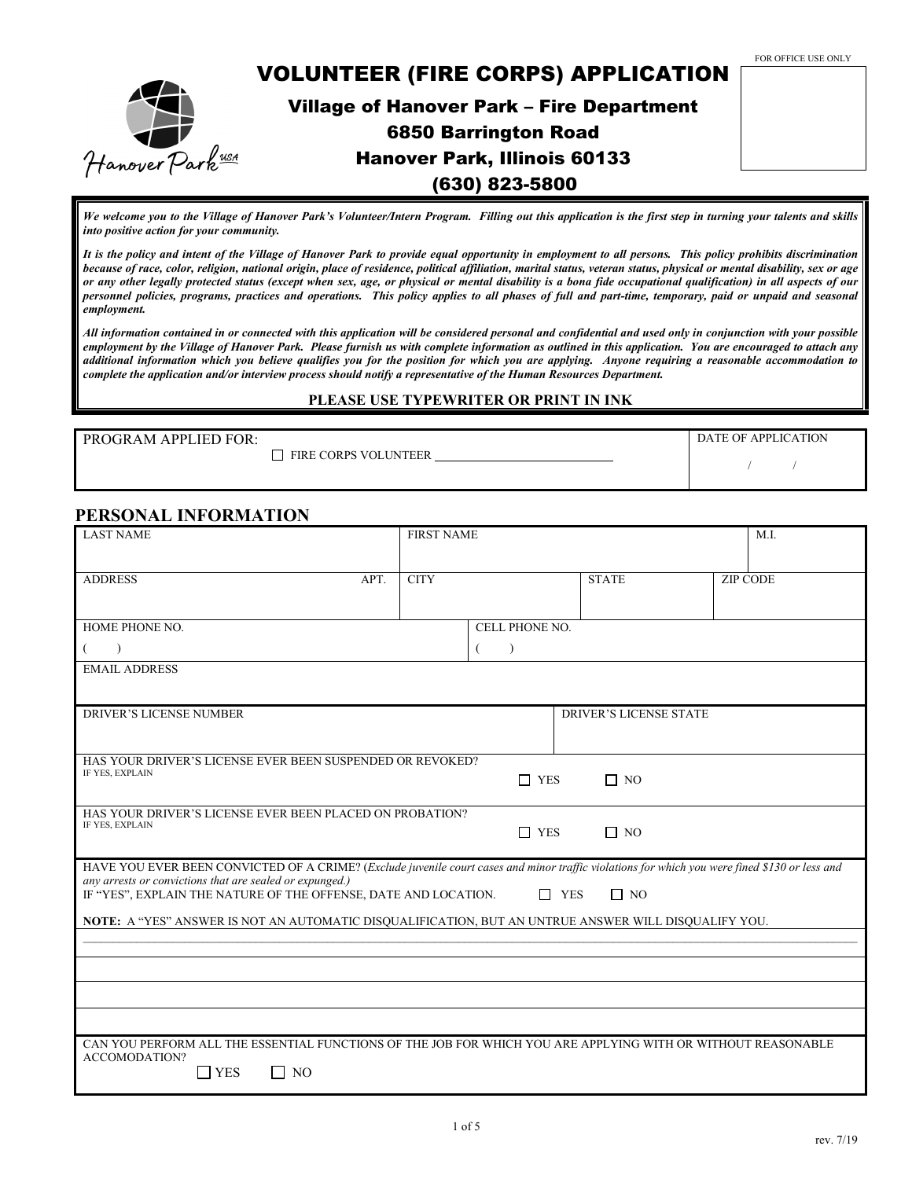

*We welcome you to the Village of Hanover Park's Volunteer/Intern Program. Filling out this application is the first step in turning your talents and skills into positive action for your community.* 

*It is the policy and intent of the Village of Hanover Park to provide equal opportunity in employment to all persons. This policy prohibits discrimination because of race, color, religion, national origin, place of residence, political affiliation, marital status, veteran status, physical or mental disability, sex or age or any other legally protected status (except when sex, age, or physical or mental disability is a bona fide occupational qualification) in all aspects of our personnel policies, programs, practices and operations. This policy applies to all phases of full and part-time, temporary, paid or unpaid and seasonal employment.* 

*All information contained in or connected with this application will be considered personal and confidential and used only in conjunction with your possible employment by the Village of Hanover Park. Please furnish us with complete information as outlined in this application. You are encouraged to attach any additional information which you believe qualifies you for the position for which you are applying. Anyone requiring a reasonable accommodation to complete the application and/or interview process should notify a representative of the Human Resources Department.*

#### **PLEASE USE TYPEWRITER OR PRINT IN INK**

| PROGRAM APPLIED FOR: |               |  |
|----------------------|---------------|--|
|                      | $\Box$ $\Box$ |  |

FIRE CORPS VOLUNTEER

DATE OF APPLICATION / /

#### **PERSONAL INFORMATION**

| <b>LAST NAME</b>                                                                                                                                                                                           | <b>FIRST NAME</b> |                |  |                               | M.I.            |
|------------------------------------------------------------------------------------------------------------------------------------------------------------------------------------------------------------|-------------------|----------------|--|-------------------------------|-----------------|
| <b>ADDRESS</b><br>APT.                                                                                                                                                                                     | <b>CITY</b>       |                |  | <b>STATE</b>                  | <b>ZIP CODE</b> |
|                                                                                                                                                                                                            |                   |                |  |                               |                 |
| HOME PHONE NO.                                                                                                                                                                                             |                   | CELL PHONE NO. |  |                               |                 |
| $\lambda$                                                                                                                                                                                                  |                   | $\lambda$<br>€ |  |                               |                 |
| <b>EMAIL ADDRESS</b>                                                                                                                                                                                       |                   |                |  |                               |                 |
|                                                                                                                                                                                                            |                   |                |  |                               |                 |
| <b>DRIVER'S LICENSE NUMBER</b>                                                                                                                                                                             |                   |                |  | <b>DRIVER'S LICENSE STATE</b> |                 |
| HAS YOUR DRIVER'S LICENSE EVER BEEN SUSPENDED OR REVOKED?                                                                                                                                                  |                   |                |  |                               |                 |
| IF YES, EXPLAIN                                                                                                                                                                                            |                   | $\Box$ YES     |  | $\Box$ NO                     |                 |
|                                                                                                                                                                                                            |                   |                |  |                               |                 |
| HAS YOUR DRIVER'S LICENSE EVER BEEN PLACED ON PROBATION?<br>IF YES, EXPLAIN                                                                                                                                |                   | $\Box$ YES     |  | $\Box$ NO                     |                 |
|                                                                                                                                                                                                            |                   |                |  |                               |                 |
| HAVE YOU EVER BEEN CONVICTED OF A CRIME? (Exclude juvenile court cases and minor traffic violations for which you were fined \$130 or less and<br>any arrests or convictions that are sealed or expunged.) |                   |                |  |                               |                 |
| IF "YES", EXPLAIN THE NATURE OF THE OFFENSE, DATE AND LOCATION.<br>$\Box$ YES<br>$\Box$ NO                                                                                                                 |                   |                |  |                               |                 |
| NOTE: A "YES" ANSWER IS NOT AN AUTOMATIC DISQUALIFICATION, BUT AN UNTRUE ANSWER WILL DISQUALIFY YOU.                                                                                                       |                   |                |  |                               |                 |
|                                                                                                                                                                                                            |                   |                |  |                               |                 |
|                                                                                                                                                                                                            |                   |                |  |                               |                 |
|                                                                                                                                                                                                            |                   |                |  |                               |                 |
|                                                                                                                                                                                                            |                   |                |  |                               |                 |
| CAN YOU PERFORM ALL THE ESSENTIAL FUNCTIONS OF THE JOB FOR WHICH YOU ARE APPLYING WITH OR WITHOUT REASONABLE<br>ACCOMODATION?                                                                              |                   |                |  |                               |                 |
| $\Box$ YES<br>$\Box$ No                                                                                                                                                                                    |                   |                |  |                               |                 |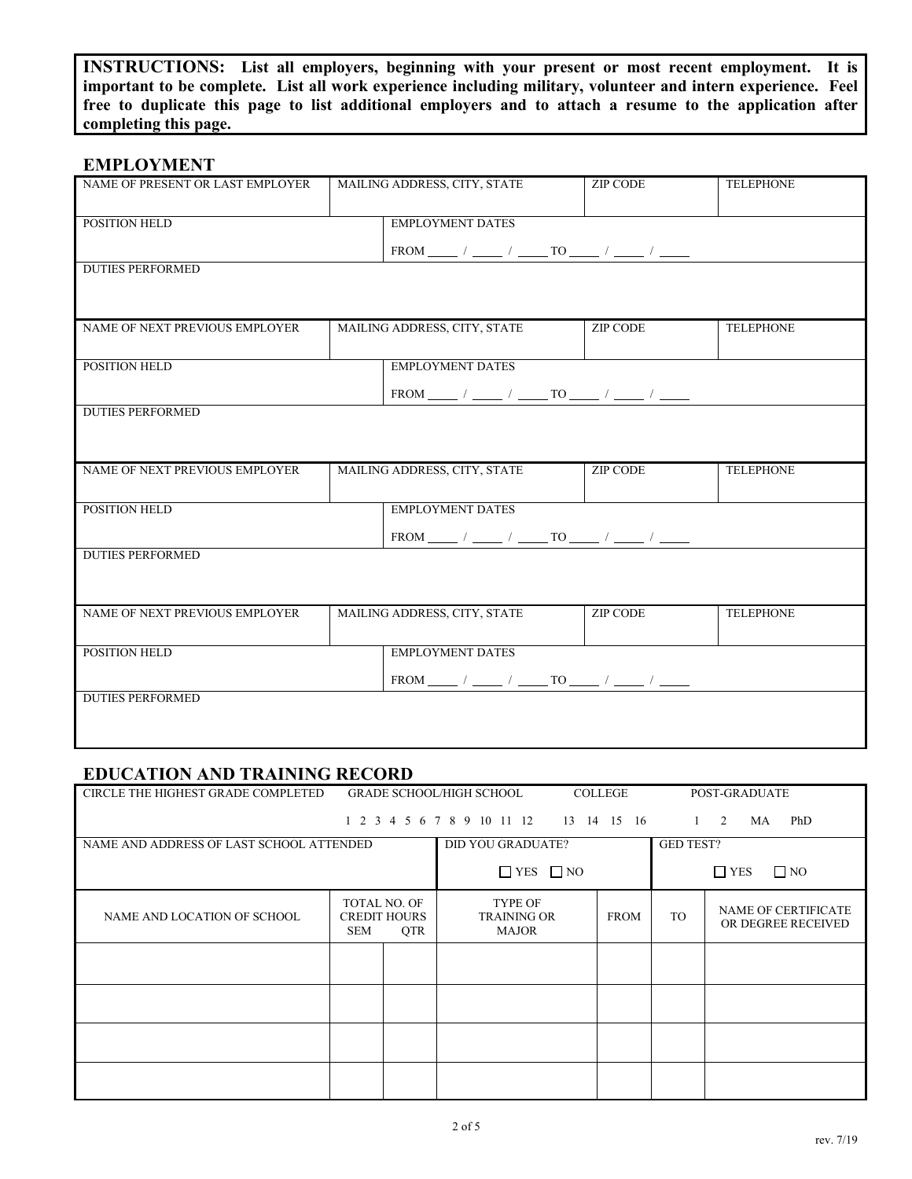**INSTRUCTIONS: List all employers, beginning with your present or most recent employment. It is important to be complete. List all work experience including military, volunteer and intern experience. Feel free to duplicate this page to list additional employers and to attach a resume to the application after completing this page.**

### **EMPLOYMENT**

| NAME OF PRESENT OR LAST EMPLOYER         | MAILING ADDRESS, CITY, STATE                    | <b>TELEPHONE</b> |                  |
|------------------------------------------|-------------------------------------------------|------------------|------------------|
| POSITION HELD                            | <b>EMPLOYMENT DATES</b>                         |                  |                  |
|                                          |                                                 |                  |                  |
| <b>DUTIES PERFORMED</b>                  |                                                 |                  |                  |
|                                          |                                                 |                  |                  |
| NAME OF NEXT PREVIOUS EMPLOYER           | MAILING ADDRESS, CITY, STATE                    | <b>ZIP CODE</b>  | <b>TELEPHONE</b> |
| POSITION HELD                            | <b>EMPLOYMENT DATES</b>                         |                  |                  |
|                                          |                                                 |                  |                  |
| <b>DUTIES PERFORMED</b>                  |                                                 |                  |                  |
|                                          |                                                 |                  |                  |
| NAME OF NEXT PREVIOUS EMPLOYER           | MAILING ADDRESS, CITY, STATE                    | <b>ZIP CODE</b>  | <b>TELEPHONE</b> |
| POSITION HELD                            | <b>EMPLOYMENT DATES</b>                         |                  |                  |
|                                          | $FROM$ ____ / ____ / ____ TO ____ / ____ / ____ |                  |                  |
| <b>DUTIES PERFORMED</b>                  |                                                 |                  |                  |
|                                          |                                                 |                  |                  |
| NAME OF NEXT PREVIOUS EMPLOYER           | MAILING ADDRESS, CITY, STATE                    | <b>ZIP CODE</b>  | <b>TELEPHONE</b> |
| POSITION HELD<br><b>EMPLOYMENT DATES</b> |                                                 |                  |                  |
|                                          | FROM _____ / ____ / _____ TO ____ / ____ / ____ |                  |                  |
| <b>DUTIES PERFORMED</b>                  |                                                 |                  |                  |
|                                          |                                                 |                  |                  |
|                                          |                                                 |                  |                  |

## **EDUCATION AND TRAINING RECORD**

| CIRCLE THE HIGHEST GRADE COMPLETED       |                                                                        | <b>GRADE SCHOOL/HIGH SCHOOL</b>               | <b>COLLEGE</b> |                  | POST-GRADUATE                                    |
|------------------------------------------|------------------------------------------------------------------------|-----------------------------------------------|----------------|------------------|--------------------------------------------------|
|                                          |                                                                        | 1 2 3 4 5 6 7 8 9 10 11 12 13 14 15 16        |                | $\mathbf{1}$     | PhD<br>2<br>MA                                   |
| NAME AND ADDRESS OF LAST SCHOOL ATTENDED |                                                                        | <b>DID YOU GRADUATE?</b>                      |                | <b>GED TEST?</b> |                                                  |
|                                          |                                                                        | $\Box$ YES $\Box$ NO                          |                |                  | $\Box$ NO<br>$\Box$ YES                          |
| NAME AND LOCATION OF SCHOOL              | <b>TOTAL NO. OF</b><br><b>CREDIT HOURS</b><br><b>QTR</b><br><b>SEM</b> | TYPE OF<br><b>TRAINING OR</b><br><b>MAJOR</b> | <b>FROM</b>    | <b>TO</b>        | <b>NAME OF CERTIFICATE</b><br>OR DEGREE RECEIVED |
|                                          |                                                                        |                                               |                |                  |                                                  |
|                                          |                                                                        |                                               |                |                  |                                                  |
|                                          |                                                                        |                                               |                |                  |                                                  |
|                                          |                                                                        |                                               |                |                  |                                                  |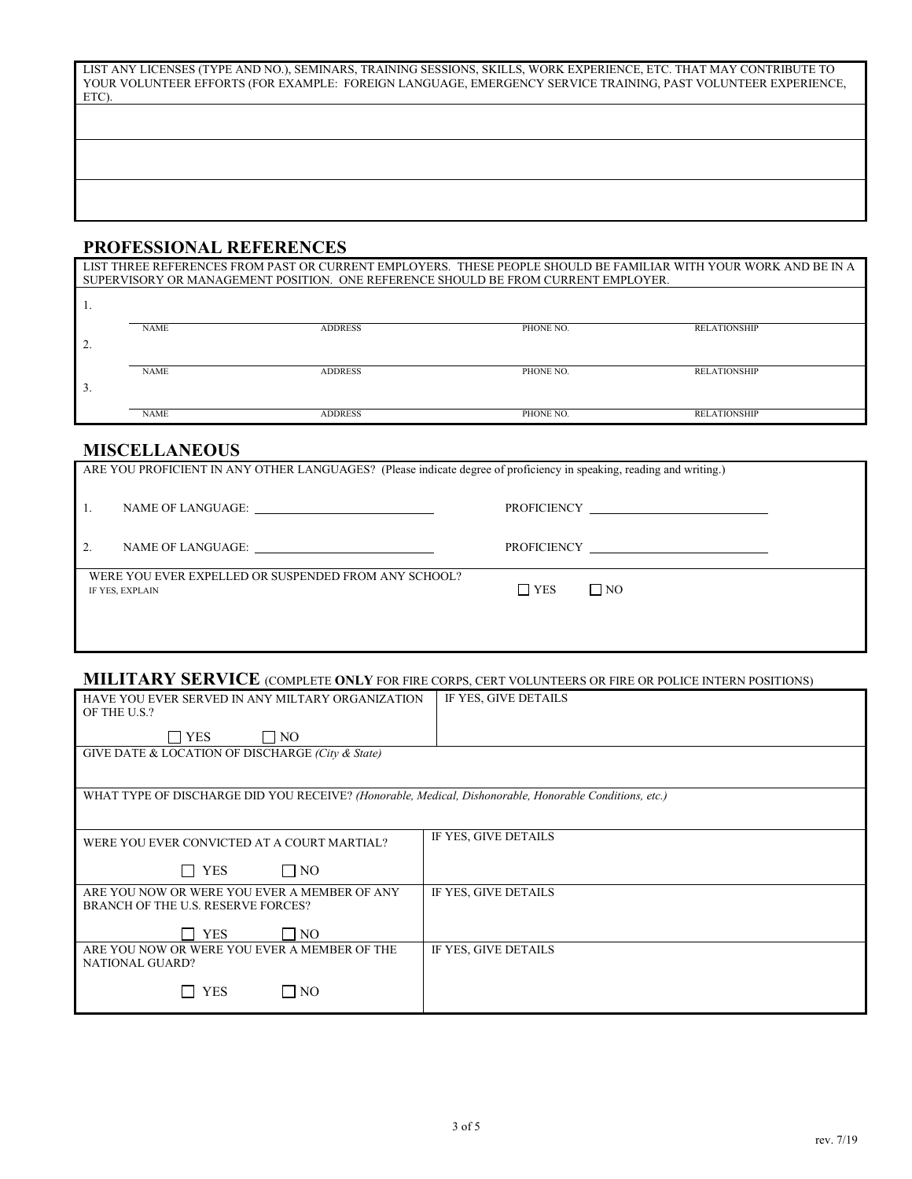| LIST ANY LICENSES (TYPE AND NO.), SEMINARS, TRAINING SESSIONS, SKILLS, WORK EXPERIENCE, ETC. THAT MAY CONTRIBUTE TO |  |
|---------------------------------------------------------------------------------------------------------------------|--|
| YOUR VOLUNTEER EFFORTS (FOR EXAMPLE: FOREIGN LANGUAGE, EMERGENCY SERVICE TRAINING, PAST VOLUNTEER EXPERIENCE,       |  |
| ETC).                                                                                                               |  |

## **PROFESSIONAL REFERENCES**

| LIST THREE REFERENCES FROM PAST OR CURRENT EMPLOYERS. THESE PEOPLE SHOULD BE FAMILIAR WITH YOUR WORK AND BE IN A |                                                                                    |                |           |                     |  |  |  |
|------------------------------------------------------------------------------------------------------------------|------------------------------------------------------------------------------------|----------------|-----------|---------------------|--|--|--|
|                                                                                                                  | SUPERVISORY OR MANAGEMENT POSITION. ONE REFERENCE SHOULD BE FROM CURRENT EMPLOYER. |                |           |                     |  |  |  |
|                                                                                                                  |                                                                                    |                |           |                     |  |  |  |
|                                                                                                                  |                                                                                    |                |           |                     |  |  |  |
|                                                                                                                  | <b>NAME</b>                                                                        | <b>ADDRESS</b> | PHONE NO. | <b>RELATIONSHIP</b> |  |  |  |
|                                                                                                                  |                                                                                    |                |           |                     |  |  |  |
|                                                                                                                  | <b>NAME</b>                                                                        | <b>ADDRESS</b> | PHONE NO. | <b>RELATIONSHIP</b> |  |  |  |
| $\Delta$ .                                                                                                       |                                                                                    |                |           |                     |  |  |  |
|                                                                                                                  |                                                                                    |                |           |                     |  |  |  |
|                                                                                                                  | <b>NAME</b>                                                                        | <b>ADDRESS</b> | PHONE NO. | <b>RELATIONSHIP</b> |  |  |  |
|                                                                                                                  |                                                                                    |                |           |                     |  |  |  |
|                                                                                                                  | LIIQQILI LAIRAIIQ                                                                  |                |           |                     |  |  |  |

#### **MISCELLANEOUS**

| ARE YOU PROFICIENT IN ANY OTHER LANGUAGES? (Please indicate degree of proficiency in speaking, reading and writing.) |            |           |  |  |
|----------------------------------------------------------------------------------------------------------------------|------------|-----------|--|--|
|                                                                                                                      |            |           |  |  |
| NAME OF LANGUAGE:                                                                                                    |            |           |  |  |
| WERE YOU EVER EXPELLED OR SUSPENDED FROM ANY SCHOOL?<br>IF YES, EXPLAIN                                              | $\Box$ YES | $\Box$ NO |  |  |
|                                                                                                                      |            |           |  |  |

## **MILITARY SERVICE** (COMPLETE **ONLY** FOR FIRE CORPS, CERT VOLUNTEERS OR FIRE OR POLICE INTERN POSITIONS)

| HAVE YOU EVER SERVED IN ANY MILTARY ORGANIZATION<br>OF THE U.S.?                                       | IF YES, GIVE DETAILS |
|--------------------------------------------------------------------------------------------------------|----------------------|
| l i Yes<br>$\overline{\phantom{a}}$ NO                                                                 |                      |
| GIVE DATE & LOCATION OF DISCHARGE (City & State)                                                       |                      |
| WHAT TYPE OF DISCHARGE DID YOU RECEIVE? (Honorable, Medical, Dishonorable, Honorable Conditions, etc.) |                      |
|                                                                                                        |                      |
| WERE YOU EVER CONVICTED AT A COURT MARTIAL?                                                            | IF YES, GIVE DETAILS |
| <b>YES</b><br>$\Box$ NO                                                                                |                      |
| ARE YOU NOW OR WERE YOU EVER A MEMBER OF ANY<br>BRANCH OF THE U.S. RESERVE FORCES?                     | IF YES, GIVE DETAILS |
| <b>YES</b><br>NO.                                                                                      |                      |
| ARE YOU NOW OR WERE YOU EVER A MEMBER OF THE<br>NATIONAL GUARD?                                        | IF YES, GIVE DETAILS |
| YES<br>$\Box$ NO                                                                                       |                      |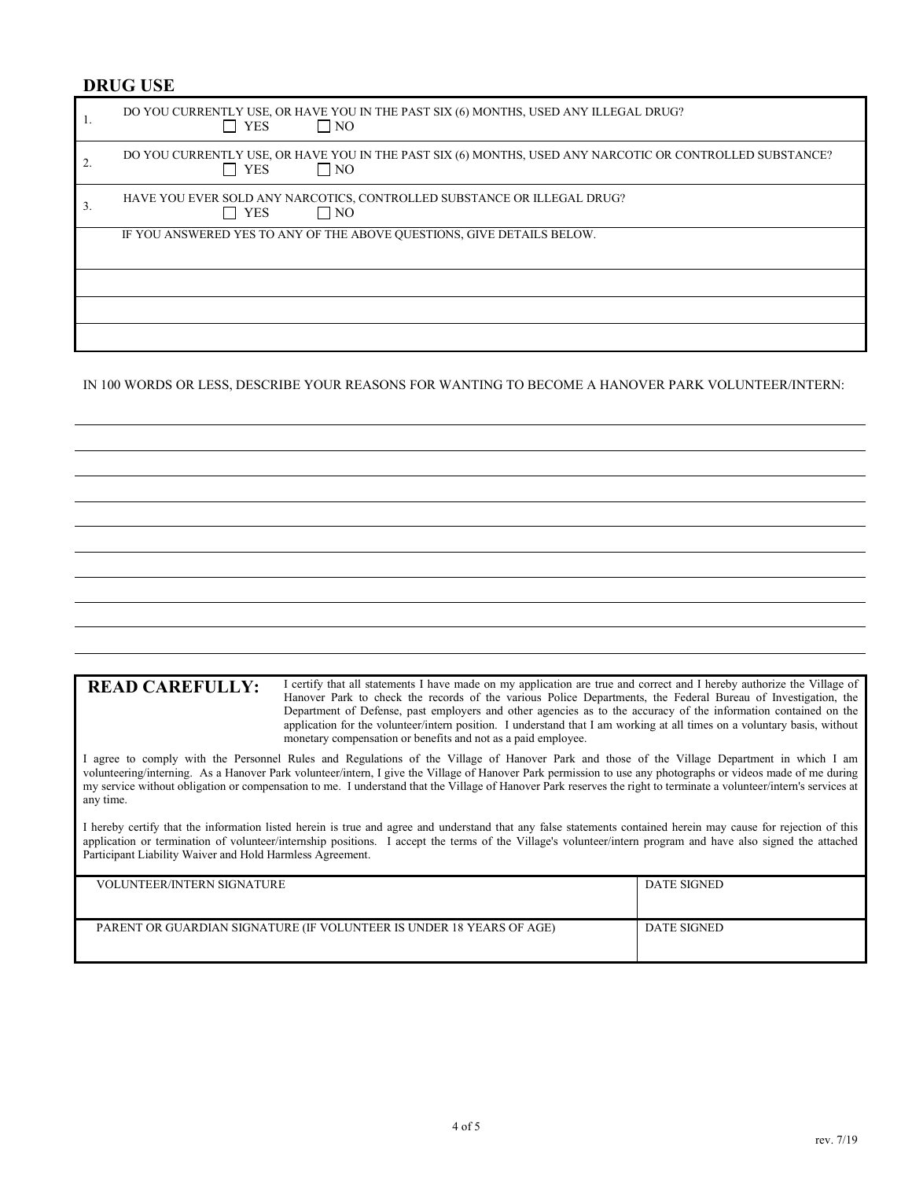#### **DRUG USE**

|    | DO YOU CURRENTLY USE, OR HAVE YOU IN THE PAST SIX (6) MONTHS, USED ANY ILLEGAL DRUG?<br>YES<br>$\Box$ NO                            |
|----|-------------------------------------------------------------------------------------------------------------------------------------|
|    | DO YOU CURRENTLY USE, OR HAVE YOU IN THE PAST SIX (6) MONTHS, USED ANY NARCOTIC OR CONTROLLED SUBSTANCE?<br>$\Box$ NO<br>$\Box$ YES |
| 3. | HAVE YOU EVER SOLD ANY NARCOTICS, CONTROLLED SUBSTANCE OR ILLEGAL DRUG?<br><b>YES</b><br>$\Box$ No                                  |
|    | IF YOU ANSWERED YES TO ANY OF THE ABOVE QUESTIONS, GIVE DETAILS BELOW.                                                              |
|    |                                                                                                                                     |
|    |                                                                                                                                     |
|    |                                                                                                                                     |

IN 100 WORDS OR LESS, DESCRIBE YOUR REASONS FOR WANTING TO BECOME A HANOVER PARK VOLUNTEER/INTERN:

READ CAREFULLY: I certify that all statements I have made on my application are true and correct and I hereby authorize the Village of Hanover Park to check the records of the various Police Departments, the Federal Bureau of Investigation, the Department of Defense, past employers and other agencies as to the accuracy of the information contained on the application for the volunteer/intern position. I understand that I am working at all times on a voluntary basis, without monetary compensation or benefits and not as a paid employee.

I agree to comply with the Personnel Rules and Regulations of the Village of Hanover Park and those of the Village Department in which I am volunteering/interning. As a Hanover Park volunteer/intern, I give the Village of Hanover Park permission to use any photographs or videos made of me during my service without obligation or compensation to me. I understand that the Village of Hanover Park reserves the right to terminate a volunteer/intern's services at any time.

I hereby certify that the information listed herein is true and agree and understand that any false statements contained herein may cause for rejection of this application or termination of volunteer/internship positions. I accept the terms of the Village's volunteer/intern program and have also signed the attached Participant Liability Waiver and Hold Harmless Agreement.

| <b>VOLUNTEER/INTERN SIGNATURE</b>                                    | <b>DATE SIGNED</b> |
|----------------------------------------------------------------------|--------------------|
| PARENT OR GUARDIAN SIGNATURE (IF VOLUNTEER IS UNDER 18 YEARS OF AGE) | <b>DATE SIGNED</b> |